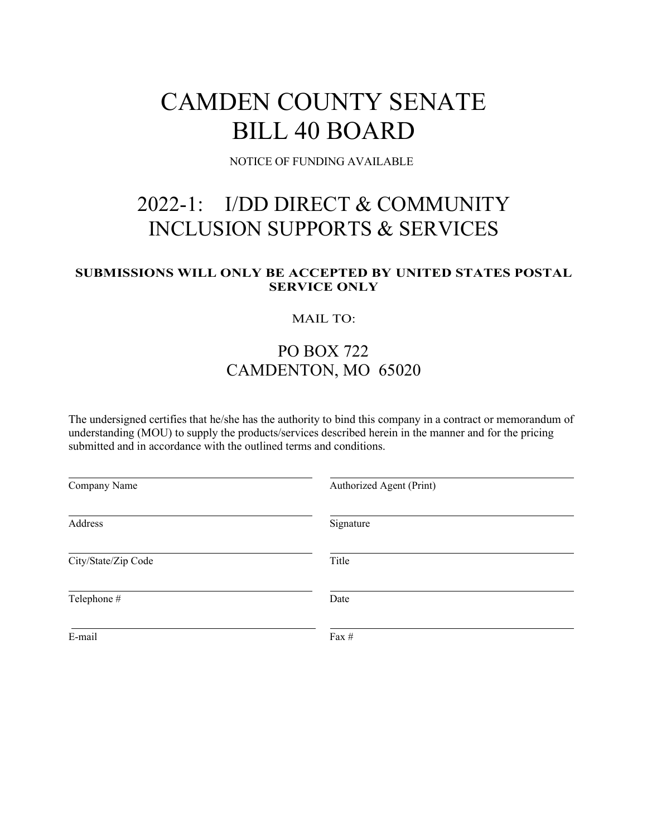# CAMDEN COUNTY SENATE BILL 40 BOARD

NOTICE OF FUNDING AVAILABLE

## 2022-1: I/DD DIRECT & COMMUNITY INCLUSION SUPPORTS & SERVICES

#### **SUBMISSIONS WILL ONLY BE ACCEPTED BY UNITED STATES POSTAL SERVICE ONLY**

#### MAIL TO:

### PO BOX 722 CAMDENTON, MO 65020

The undersigned certifies that he/she has the authority to bind this company in a contract or memorandum of understanding (MOU) to supply the products/services described herein in the manner and for the pricing submitted and in accordance with the outlined terms and conditions.

| Company Name        | Authorized Agent (Print) |
|---------------------|--------------------------|
| Address             | Signature                |
| City/State/Zip Code | Title                    |
| Telephone #         | Date                     |
| E-mail              | Fax #                    |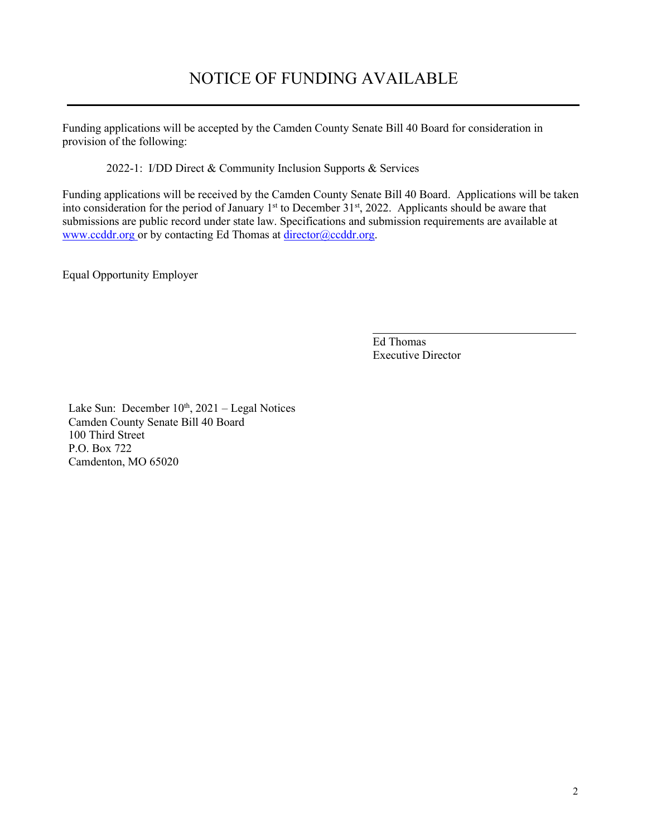## NOTICE OF FUNDING AVAILABLE

Funding applications will be accepted by the Camden County Senate Bill 40 Board for consideration in provision of the following:

2022-1: I/DD Direct & Community Inclusion Supports & Services

Funding applications will be received by the Camden County Senate Bill 40 Board. Applications will be taken into consideration for the period of January  $1<sup>st</sup>$  to December 31 $<sup>st</sup>$ , 2022. Applicants should be aware that</sup> submissions are public record under state law. Specifications and submission requirements are available at www.ccddr.org or by contacting Ed Thomas at [director@ccddr.org.](mailto:director@ccddr.org)

Equal Opportunity Employer

Ed Thomas Executive Director

Lake Sun: December  $10^{th}$ ,  $2021$  – Legal Notices Camden County Senate Bill 40 Board 100 Third Street P.O. Box 722 Camdenton, MO 65020